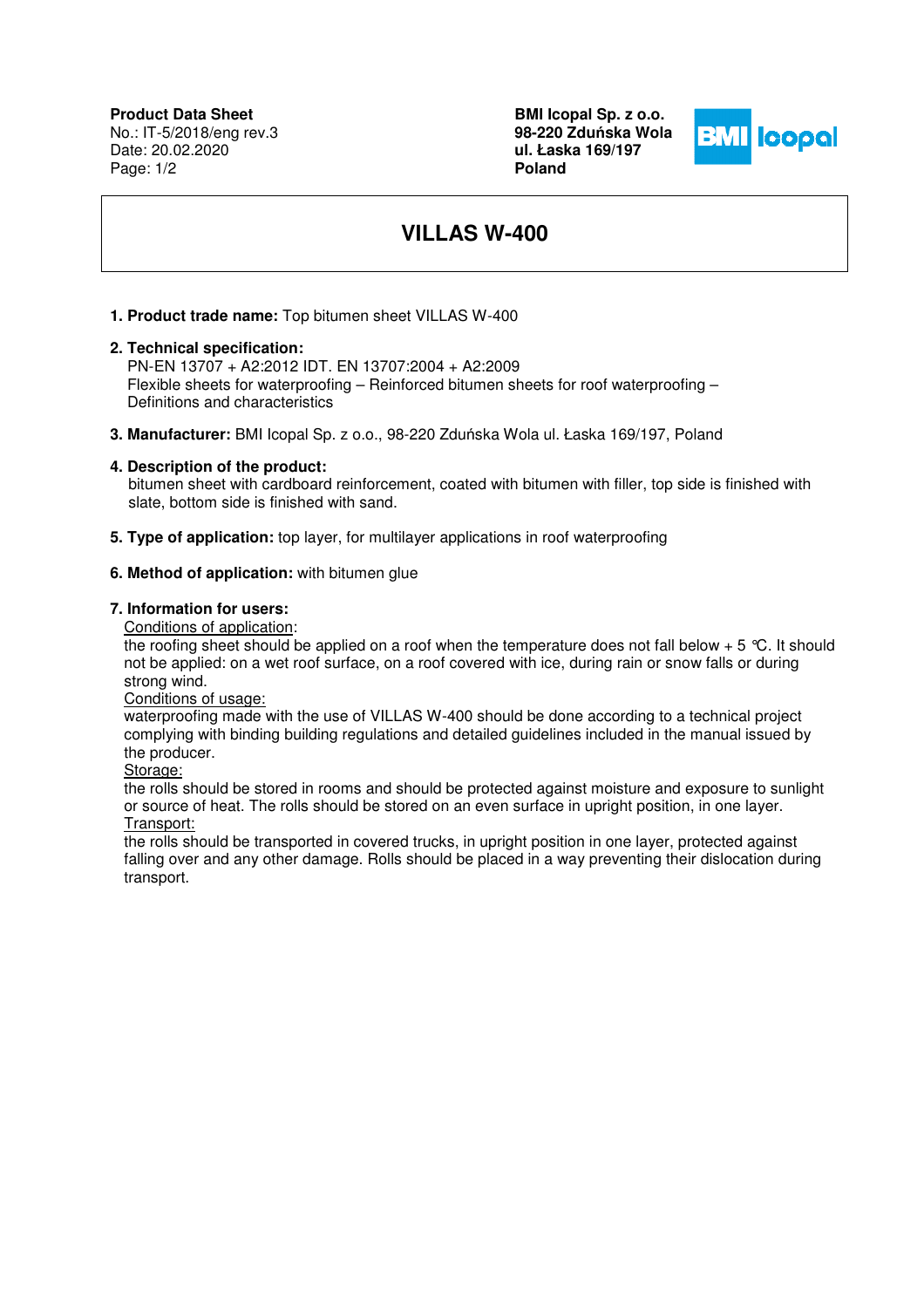**BMI Icopal Sp. z o.o. 98-220 Zdu**ń**ska Wola ul. Łaska 169/197 Poland** 



# **VILLAS W-400**

## **1. Product trade name:** Top bitumen sheet VILLAS W-400

#### **2. Technical specification:**

PN-EN 13707 + A2:2012 IDT. EN 13707:2004 + A2:2009 Flexible sheets for waterproofing – Reinforced bitumen sheets for roof waterproofing – Definitions and characteristics

**3. Manufacturer:** BMI Icopal Sp. z o.o., 98-220 Zduńska Wola ul. Łaska 169/197, Poland

#### **4. Description of the product:**

 bitumen sheet with cardboard reinforcement, coated with bitumen with filler, top side is finished with slate, bottom side is finished with sand.

**5. Type of application:** top layer, for multilayer applications in roof waterproofing

## **6. Method of application:** with bitumen glue

#### **7. Information for users:**

Conditions of application:

the roofing sheet should be applied on a roof when the temperature does not fall below  $+5$  °C. It should not be applied: on a wet roof surface, on a roof covered with ice, during rain or snow falls or during strong wind.

Conditions of usage:

waterproofing made with the use of VILLAS W-400 should be done according to a technical project complying with binding building regulations and detailed guidelines included in the manual issued by the producer.

Storage:

the rolls should be stored in rooms and should be protected against moisture and exposure to sunlight or source of heat. The rolls should be stored on an even surface in upright position, in one layer. Transport:

the rolls should be transported in covered trucks, in upright position in one layer, protected against falling over and any other damage. Rolls should be placed in a way preventing their dislocation during transport.